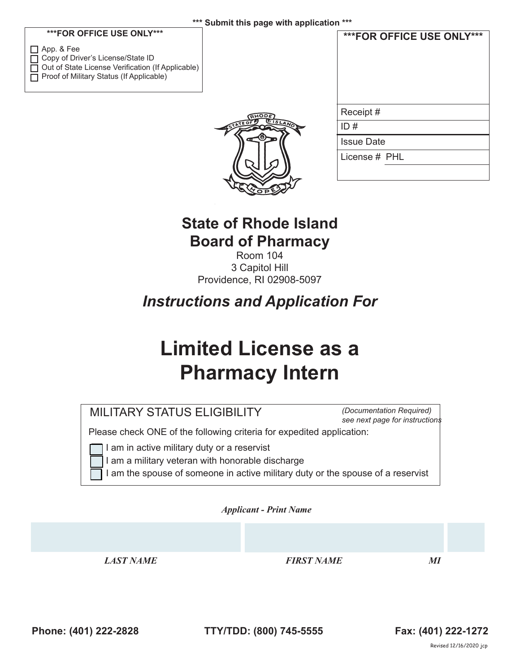#### **\*\*\*FOR OFFICE USE ONLY\*\*\***

| $\Box$ App. & Fee                                        |
|----------------------------------------------------------|
| □ Copy of Driver's License/State ID                      |
| $\Box$ Out of State License Verification (If Applicable) |
| □ Proof of Military Status (If Applicable)               |



| ***FOR OFFICE USE ONLY*** |
|---------------------------|
| Receipt #                 |
| ID#                       |
| <b>Issue Date</b>         |
| License # PHL             |
|                           |

**\*\*\*FOR OFFICE USE ONLY\*\*\***

## **State of Rhode Island Board of Pharmacy**

Room 104 3 Capitol Hill Providence, RI 02908-5097

*Instructions and Application For*

# **Limited License as a Pharmacy Intern**

*(Documentation Required) see next page for instructions*

Please check ONE of the following criteria for expedited application:

I am in active military duty or a reservist

I am a military veteran with honorable discharge

 $\Box$  I am the spouse of someone in active military duty or the spouse of a reservist

*Applicant - Print Name* 

*LAST NAME FIRST NAME MI*

**Phone: (401) 222-2828 TTY/TDD: (800) 745-5555 Fax: (401) 222-1272**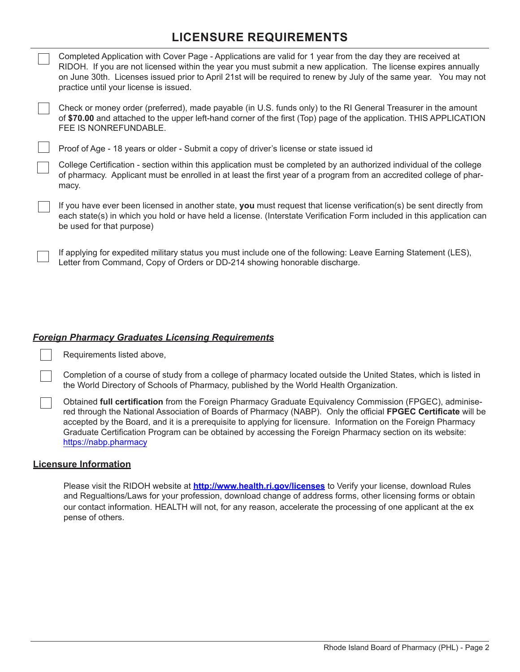### **LICENSURE REQUIREMENTS**

| Completed Application with Cover Page - Applications are valid for 1 year from the day they are received at<br>RIDOH. If you are not licensed within the year you must submit a new application. The license expires annually |                                                                                                                                                             |  |  |  |  |
|-------------------------------------------------------------------------------------------------------------------------------------------------------------------------------------------------------------------------------|-------------------------------------------------------------------------------------------------------------------------------------------------------------|--|--|--|--|
|                                                                                                                                                                                                                               | on June 30th. Licenses issued prior to April 21st will be required to renew by July of the same year. You may not<br>practice until your license is issued. |  |  |  |  |

Check or money order (preferred), made payable (in U.S. funds only) to the RI General Treasurer in the amount of **\$70.00** and attached to the upper left-hand corner of the first (Top) page of the application. THIS APPLICATION FEE IS NONREFUNDABLE.

Proof of Age - 18 years or older - Submit a copy of driver's license or state issued id

College Certification - section within this application must be completed by an authorized individual of the college of pharmacy. Applicant must be enrolled in at least the first year of a program from an accredited college of pharmacy.

If you have ever been licensed in another state, **you** must request that license verification(s) be sent directly from each state(s) in which you hold or have held a license. (Interstate Verification Form included in this application can be used for that purpose)

If applying for expedited military status you must include one of the following: Leave Earning Statement (LES), Letter from Command, Copy of Orders or DD-214 showing honorable discharge.

#### *Foreign Pharmacy Graduates Licensing Requirements*

Requirements listed above,

Completion of a course of study from a college of pharmacy located outside the United States, which is listed in the World Directory of Schools of Pharmacy, published by the World Health Organization.

Obtained **full certification** from the Foreign Pharmacy Graduate Equivalency Commission (FPGEC), adminisered through the National Association of Boards of Pharmacy (NABP). Only the official **FPGEC Certificate** will be accepted by the Board, and it is a prerequisite to applying for licensure. Information on the Foreign Pharmacy Graduate Certification Program can be obtained by accessing the Foreign Pharmacy section on its website: https://nabp.pharmacy

#### **Licensure Information**

 $\sqrt{ }$ 

Please visit the RIDOH website at **http://www.health.ri.gov/licenses** to Verify your license, download Rules and Regualtions/Laws for your profession, download change of address forms, other licensing forms or obtain our contact information. HEALTH will not, for any reason, accelerate the processing of one applicant at the ex pense of others.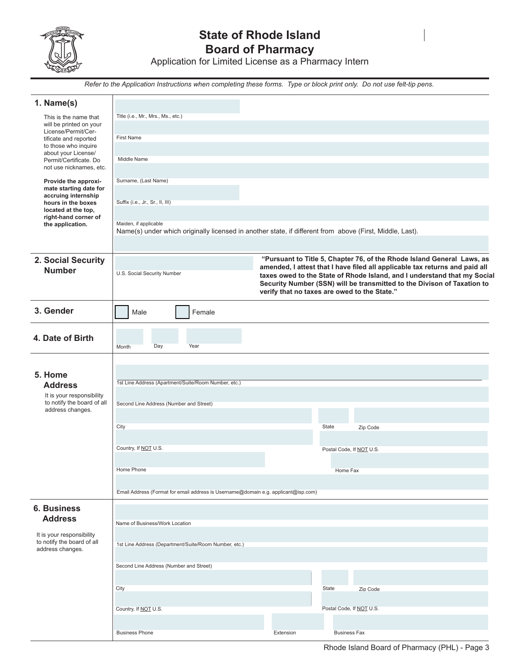

## **State of Rhode Island Board of Pharmacy**

Application for Limited License as a Pharmacy Intern

*Refer to the Application Instructions when completing these forms. Type or block print only. Do not use felt-tip pens.*

| 1. Name(s)                                        |                                                                                                          |                                              |                                                                                                                                                         |
|---------------------------------------------------|----------------------------------------------------------------------------------------------------------|----------------------------------------------|---------------------------------------------------------------------------------------------------------------------------------------------------------|
| This is the name that                             | Title (i.e., Mr., Mrs., Ms., etc.)                                                                       |                                              |                                                                                                                                                         |
| will be printed on your<br>License/Permit/Cer-    |                                                                                                          |                                              |                                                                                                                                                         |
| tificate and reported                             | <b>First Name</b>                                                                                        |                                              |                                                                                                                                                         |
| to those who inquire<br>about your License/       |                                                                                                          |                                              |                                                                                                                                                         |
| Permit/Certificate. Do<br>not use nicknames, etc. | Middle Name                                                                                              |                                              |                                                                                                                                                         |
|                                                   |                                                                                                          |                                              |                                                                                                                                                         |
| Provide the approxi-<br>mate starting date for    | Surname, (Last Name)                                                                                     |                                              |                                                                                                                                                         |
| accruing internship<br>hours in the boxes         | Suffix (i.e., Jr., Sr., II, III)                                                                         |                                              |                                                                                                                                                         |
| located at the top.<br>right-hand corner of       |                                                                                                          |                                              |                                                                                                                                                         |
| the application.                                  | Maiden, if applicable                                                                                    |                                              |                                                                                                                                                         |
|                                                   | Name(s) under which originally licensed in another state, if different from above (First, Middle, Last). |                                              |                                                                                                                                                         |
|                                                   |                                                                                                          |                                              |                                                                                                                                                         |
| 2. Social Security                                |                                                                                                          |                                              | "Pursuant to Title 5, Chapter 76, of the Rhode Island General Laws, as                                                                                  |
| <b>Number</b>                                     | U.S. Social Security Number                                                                              |                                              | amended, I attest that I have filed all applicable tax returns and paid all<br>taxes owed to the State of Rhode Island, and I understand that my Social |
|                                                   |                                                                                                          |                                              | Security Number (SSN) will be transmitted to the Divison of Taxation to                                                                                 |
|                                                   |                                                                                                          | verify that no taxes are owed to the State." |                                                                                                                                                         |
| 3. Gender                                         | Female<br>Male                                                                                           |                                              |                                                                                                                                                         |
|                                                   |                                                                                                          |                                              |                                                                                                                                                         |
| 4. Date of Birth                                  |                                                                                                          |                                              |                                                                                                                                                         |
|                                                   | Day<br>Year<br>Month                                                                                     |                                              |                                                                                                                                                         |
|                                                   |                                                                                                          |                                              |                                                                                                                                                         |
| 5. Home                                           |                                                                                                          |                                              |                                                                                                                                                         |
| <b>Address</b>                                    | 1st Line Address (Apartment/Suite/Room Number, etc.)                                                     |                                              |                                                                                                                                                         |
| It is your responsibility                         |                                                                                                          |                                              |                                                                                                                                                         |
| to notify the board of all<br>address changes.    | Second Line Address (Number and Street)                                                                  |                                              |                                                                                                                                                         |
|                                                   |                                                                                                          |                                              |                                                                                                                                                         |
|                                                   | City                                                                                                     | State                                        | Zip Code                                                                                                                                                |
|                                                   | Country, If NOT U.S.                                                                                     |                                              | Postal Code, If NOT U.S.                                                                                                                                |
|                                                   |                                                                                                          |                                              |                                                                                                                                                         |
|                                                   | Home Phone                                                                                               |                                              | Home Fax                                                                                                                                                |
|                                                   |                                                                                                          |                                              |                                                                                                                                                         |
|                                                   | Email Address (Format for email address is Username@domain e.g. applicant@isp.com)                       |                                              |                                                                                                                                                         |
| <b>6. Business</b>                                |                                                                                                          |                                              |                                                                                                                                                         |
| <b>Address</b>                                    | Name of Business/Work Location                                                                           |                                              |                                                                                                                                                         |
| It is your responsibility                         |                                                                                                          |                                              |                                                                                                                                                         |
| to notify the board of all                        | 1st Line Address (Department/Suite/Room Number, etc.)                                                    |                                              |                                                                                                                                                         |
| address changes.                                  |                                                                                                          |                                              |                                                                                                                                                         |
|                                                   | Second Line Address (Number and Street)                                                                  |                                              |                                                                                                                                                         |
|                                                   |                                                                                                          |                                              |                                                                                                                                                         |
|                                                   | City                                                                                                     | State                                        | Zip Code                                                                                                                                                |
|                                                   | Country, If NOT U.S.                                                                                     |                                              | Postal Code, If NO LU.S.                                                                                                                                |
|                                                   |                                                                                                          |                                              |                                                                                                                                                         |
|                                                   | <b>Business Phone</b>                                                                                    | Extension                                    | <b>Business Fax</b>                                                                                                                                     |

Rhode Island Board of Pharmacy (PHL) - Page 3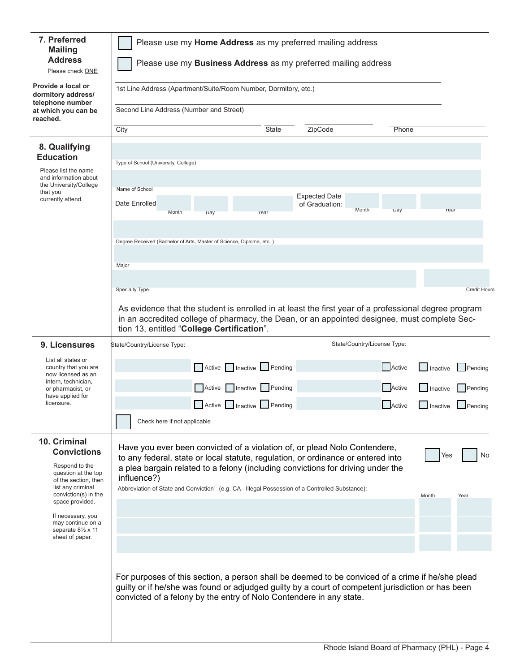| 7. Preferred<br><b>Mailing</b><br><b>Address</b><br>Please check ONE                                                                                                                                                                                                                                                            | Please use my Home Address as my preferred mailing address<br>Please use my Business Address as my preferred mailing address                                                                                                                                                 |                           |       |                                        |                             |        |                   |                        |
|---------------------------------------------------------------------------------------------------------------------------------------------------------------------------------------------------------------------------------------------------------------------------------------------------------------------------------|------------------------------------------------------------------------------------------------------------------------------------------------------------------------------------------------------------------------------------------------------------------------------|---------------------------|-------|----------------------------------------|-----------------------------|--------|-------------------|------------------------|
| Provide a local or<br>dormitory address/<br>telephone number                                                                                                                                                                                                                                                                    | 1st Line Address (Apartment/Suite/Room Number, Dormitory, etc.)                                                                                                                                                                                                              |                           |       |                                        |                             |        |                   |                        |
| at which you can be<br>reached.                                                                                                                                                                                                                                                                                                 | Second Line Address (Number and Street)                                                                                                                                                                                                                                      |                           |       |                                        |                             |        |                   |                        |
|                                                                                                                                                                                                                                                                                                                                 | City                                                                                                                                                                                                                                                                         |                           | State | ZipCode                                |                             | Phone  |                   |                        |
| 8. Qualifying<br><b>Education</b>                                                                                                                                                                                                                                                                                               |                                                                                                                                                                                                                                                                              |                           |       |                                        |                             |        |                   |                        |
| Please list the name<br>and information about                                                                                                                                                                                                                                                                                   | Type of School (University, College)                                                                                                                                                                                                                                         |                           |       |                                        |                             |        |                   |                        |
| the University/College<br>that you<br>currently attend.                                                                                                                                                                                                                                                                         | Name of School<br>Date Enrolled                                                                                                                                                                                                                                              |                           |       | <b>Expected Date</b><br>of Graduation: |                             |        |                   |                        |
|                                                                                                                                                                                                                                                                                                                                 | Month                                                                                                                                                                                                                                                                        | Day                       | Year  |                                        | Month                       | Day    | Year              |                        |
|                                                                                                                                                                                                                                                                                                                                 | Degree Received (Bachelor of Arts, Master of Science, Diploma, etc.)                                                                                                                                                                                                         |                           |       |                                        |                             |        |                   |                        |
|                                                                                                                                                                                                                                                                                                                                 | Major                                                                                                                                                                                                                                                                        |                           |       |                                        |                             |        |                   |                        |
|                                                                                                                                                                                                                                                                                                                                 |                                                                                                                                                                                                                                                                              |                           |       |                                        |                             |        |                   |                        |
|                                                                                                                                                                                                                                                                                                                                 | <b>Specialty Type</b>                                                                                                                                                                                                                                                        |                           |       |                                        |                             |        |                   | <b>Credit Hours</b>    |
|                                                                                                                                                                                                                                                                                                                                 | As evidence that the student is enrolled in at least the first year of a professional degree program<br>in an accredited college of pharmacy, the Dean, or an appointed designee, must complete Sec-<br>tion 13, entitled "College Certification".                           |                           |       |                                        |                             |        |                   |                        |
| 9. Licensures                                                                                                                                                                                                                                                                                                                   | State/Country/License Type:                                                                                                                                                                                                                                                  |                           |       |                                        | State/Country/License Type: |        |                   |                        |
| List all states or<br>country that you are<br>now licensed as an<br>intern, technician,                                                                                                                                                                                                                                         |                                                                                                                                                                                                                                                                              | Active Inactive Pending   |       |                                        |                             | Active | $\Box$ Inactive   | $\blacksquare$ Pending |
| or pharmacist, or<br>have applied for                                                                                                                                                                                                                                                                                           |                                                                                                                                                                                                                                                                              | Active Inactive Pending   |       |                                        |                             | Active | <b>I</b> Inactive | Pending                |
| licensure.                                                                                                                                                                                                                                                                                                                      |                                                                                                                                                                                                                                                                              | Active   Inactive Pending |       |                                        |                             | Active | $\Box$ Inactive   | Pending                |
|                                                                                                                                                                                                                                                                                                                                 | Check here if not applicable                                                                                                                                                                                                                                                 |                           |       |                                        |                             |        |                   |                        |
| 10. Criminal<br>Have you ever been convicted of a violation of, or plead Nolo Contendere,<br><b>Convictions</b><br>to any federal, state or local statute, regulation, or ordinance or entered into<br>Respond to the<br>a plea bargain related to a felony (including convictions for driving under the<br>question at the top |                                                                                                                                                                                                                                                                              |                           |       | Yes                                    | No                          |        |                   |                        |
| of the section, then<br>list any criminal<br>conviction(s) in the<br>space provided.                                                                                                                                                                                                                                            | influence?)<br>Abbreviation of State and Conviction <sup>1</sup> (e.g. CA - Illegal Possession of a Controlled Substance):                                                                                                                                                   |                           |       |                                        |                             |        | Month             | Year                   |
| If necessary, you<br>may continue on a                                                                                                                                                                                                                                                                                          |                                                                                                                                                                                                                                                                              |                           |       |                                        |                             |        |                   |                        |
| separate $8\frac{1}{2}$ x 11<br>sheet of paper.                                                                                                                                                                                                                                                                                 |                                                                                                                                                                                                                                                                              |                           |       |                                        |                             |        |                   |                        |
|                                                                                                                                                                                                                                                                                                                                 | For purposes of this section, a person shall be deemed to be conviced of a crime if he/she plead<br>guilty or if he/she was found or adjudged guilty by a court of competent jurisdiction or has been<br>convicted of a felony by the entry of Nolo Contendere in any state. |                           |       |                                        |                             |        |                   |                        |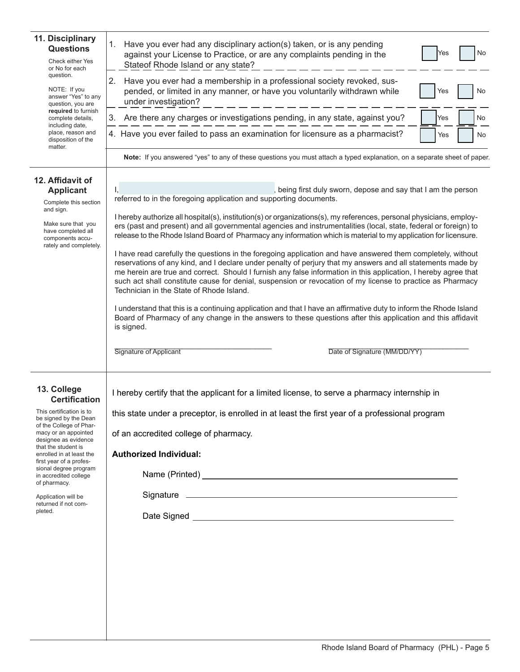| 11. Disciplinary<br><b>Questions</b><br>Check either Yes<br>or No for each<br>question.<br>NOTE: If you<br>answer "Yes" to any<br>question, you are<br>required to furnish<br>complete details,<br>including date,<br>place, reason and<br>disposition of the<br>matter.                                                                                                      | Have you ever had any disciplinary action(s) taken, or is any pending<br>1.<br>No<br>Yes<br>against your License to Practice, or are any complaints pending in the<br>Stateof Rhode Island or any state?<br>Have you ever had a membership in a professional society revoked, sus-<br>2.<br>pended, or limited in any manner, or have you voluntarily withdrawn while<br>No<br>Yes<br>under investigation?<br>Are there any charges or investigations pending, in any state, against you?<br>No<br>3.<br>Yes<br>4. Have you ever failed to pass an examination for licensure as a pharmacist?<br>Yes<br>No                                                                                                                                                                                                                                                                                                                                                                                                                                                                                                                                                                                                                                                                                                                                                                                                                                                 |  |  |  |  |  |  |
|-------------------------------------------------------------------------------------------------------------------------------------------------------------------------------------------------------------------------------------------------------------------------------------------------------------------------------------------------------------------------------|------------------------------------------------------------------------------------------------------------------------------------------------------------------------------------------------------------------------------------------------------------------------------------------------------------------------------------------------------------------------------------------------------------------------------------------------------------------------------------------------------------------------------------------------------------------------------------------------------------------------------------------------------------------------------------------------------------------------------------------------------------------------------------------------------------------------------------------------------------------------------------------------------------------------------------------------------------------------------------------------------------------------------------------------------------------------------------------------------------------------------------------------------------------------------------------------------------------------------------------------------------------------------------------------------------------------------------------------------------------------------------------------------------------------------------------------------------|--|--|--|--|--|--|
| 12. Affidavit of<br><b>Applicant</b><br>Complete this section<br>and sign.<br>Make sure that you<br>have completed all<br>components accu-<br>rately and completely.                                                                                                                                                                                                          | Note: If you answered "yes" to any of these questions you must attach a typed explanation, on a separate sheet of paper.<br>being first duly sworn, depose and say that I am the person<br>referred to in the foregoing application and supporting documents.<br>I hereby authorize all hospital(s), institution(s) or organizations(s), my references, personal physicians, employ-<br>ers (past and present) and all governmental agencies and instrumentalities (local, state, federal or foreign) to<br>release to the Rhode Island Board of Pharmacy any information which is material to my application for licensure.<br>I have read carefully the questions in the foregoing application and have answered them completely, without<br>reservations of any kind, and I declare under penalty of perjury that my answers and all statements made by<br>me herein are true and correct. Should I furnish any false information in this application, I hereby agree that<br>such act shall constitute cause for denial, suspension or revocation of my license to practice as Pharmacy<br>Technician in the State of Rhode Island.<br>I understand that this is a continuing application and that I have an affirmative duty to inform the Rhode Island<br>Board of Pharmacy of any change in the answers to these questions after this application and this affidavit<br>is signed.<br><b>Signature of Applicant</b><br>Date of Signature (MM/DD/YY) |  |  |  |  |  |  |
| 13. College<br><b>Certification</b><br>This certification is to<br>be signed by the Dean<br>of the College of Phar-<br>macy or an appointed<br>designee as evidence<br>that the student is<br>enrolled in at least the<br>first year of a profes-<br>sional degree program<br>in accredited college<br>of pharmacy.<br>Application will be<br>returned if not com-<br>pleted. | I hereby certify that the applicant for a limited license, to serve a pharmacy internship in<br>this state under a preceptor, is enrolled in at least the first year of a professional program<br>of an accredited college of pharmacy.<br><b>Authorized Individual:</b>                                                                                                                                                                                                                                                                                                                                                                                                                                                                                                                                                                                                                                                                                                                                                                                                                                                                                                                                                                                                                                                                                                                                                                                   |  |  |  |  |  |  |

J,